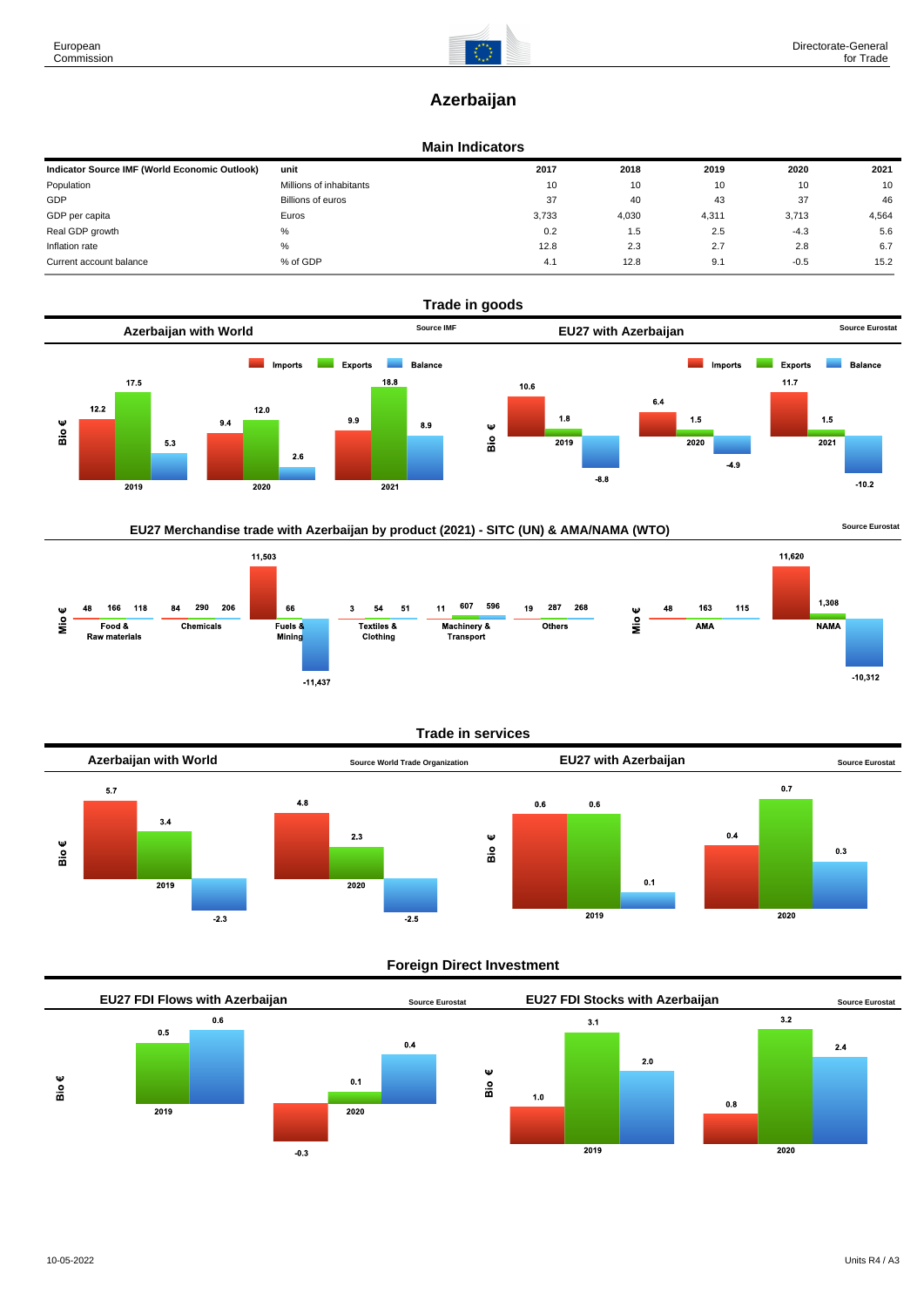# **Azerbaijan**

### **Main Indicators**

| Indicator Source IMF (World Economic Outlook) | unit                    | 2017                  | 2018  | 2019  | 2020   | 2021  |
|-----------------------------------------------|-------------------------|-----------------------|-------|-------|--------|-------|
| Population                                    | Millions of inhabitants | 10                    | 10    | 10    | 10     | 10    |
| GDP                                           | Billions of euros       | 37                    | 40    | 43    | 37     | 46    |
| GDP per capita                                | Euros                   | 3.733                 | 4,030 | 4,311 | 3.713  | 4,564 |
| Real GDP growth                               | %                       | 0.2                   | 1.5   | 2.5   | $-4.3$ | 5.6   |
| Inflation rate                                | $\%$                    | 12.8                  | 2.3   | 2.7   | 2.8    | 6.7   |
| Current account balance                       | % of GDP                | $\overline{A}$<br>4.1 | 12.8  | 9.1   | $-0.5$ | 15.2  |



## EU27 Merchandise trade with Azerbaijan by product (2021) - SITC (UN) & AMA/NAMA (WTO) **Source Eurostat**



#### **Trade in services**



#### **Foreign Direct Investment**